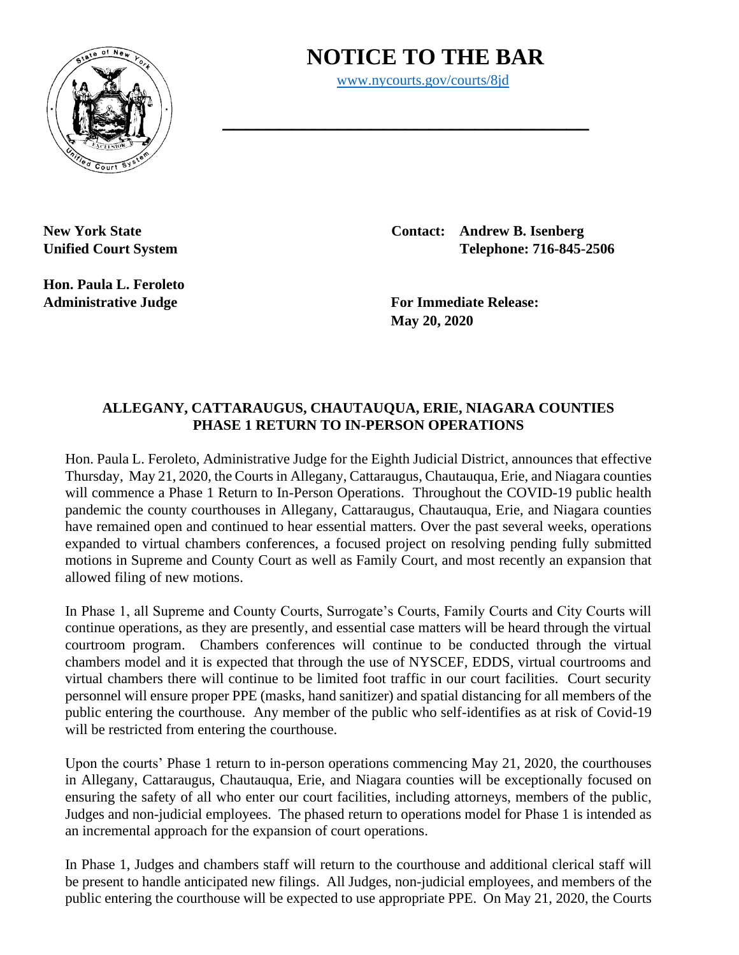## **NOTICE TO THE BAR**

[www.nycourts.gov/courts/8jd](http://www.nycourts.gov/courts/8jd)

**\_\_\_\_\_\_\_\_\_\_\_\_\_\_\_\_\_\_\_\_\_\_\_\_\_\_\_\_\_\_\_\_**



**Hon. Paula L. Feroleto** 

**New York State Contact: Andrew B. Isenberg Unified Court System Telephone: 716-845-2506**

**Administrative Judge For Immediate Release: May 20, 2020**

## **ALLEGANY, CATTARAUGUS, CHAUTAUQUA, ERIE, NIAGARA COUNTIES PHASE 1 RETURN TO IN-PERSON OPERATIONS**

Hon. Paula L. Feroleto, Administrative Judge for the Eighth Judicial District, announces that effective Thursday, May 21, 2020, the Courts in Allegany, Cattaraugus, Chautauqua, Erie, and Niagara counties will commence a Phase 1 Return to In-Person Operations. Throughout the COVID-19 public health pandemic the county courthouses in Allegany, Cattaraugus, Chautauqua, Erie, and Niagara counties have remained open and continued to hear essential matters. Over the past several weeks, operations expanded to virtual chambers conferences, a focused project on resolving pending fully submitted motions in Supreme and County Court as well as Family Court, and most recently an expansion that allowed filing of new motions.

In Phase 1, all Supreme and County Courts, Surrogate's Courts, Family Courts and City Courts will continue operations, as they are presently, and essential case matters will be heard through the virtual courtroom program. Chambers conferences will continue to be conducted through the virtual chambers model and it is expected that through the use of NYSCEF, EDDS, virtual courtrooms and virtual chambers there will continue to be limited foot traffic in our court facilities. Court security personnel will ensure proper PPE (masks, hand sanitizer) and spatial distancing for all members of the public entering the courthouse. Any member of the public who self-identifies as at risk of Covid-19 will be restricted from entering the courthouse.

Upon the courts' Phase 1 return to in-person operations commencing May 21, 2020, the courthouses in Allegany, Cattaraugus, Chautauqua, Erie, and Niagara counties will be exceptionally focused on ensuring the safety of all who enter our court facilities, including attorneys, members of the public, Judges and non-judicial employees. The phased return to operations model for Phase 1 is intended as an incremental approach for the expansion of court operations.

In Phase 1, Judges and chambers staff will return to the courthouse and additional clerical staff will be present to handle anticipated new filings. All Judges, non-judicial employees, and members of the public entering the courthouse will be expected to use appropriate PPE. On May 21, 2020, the Courts